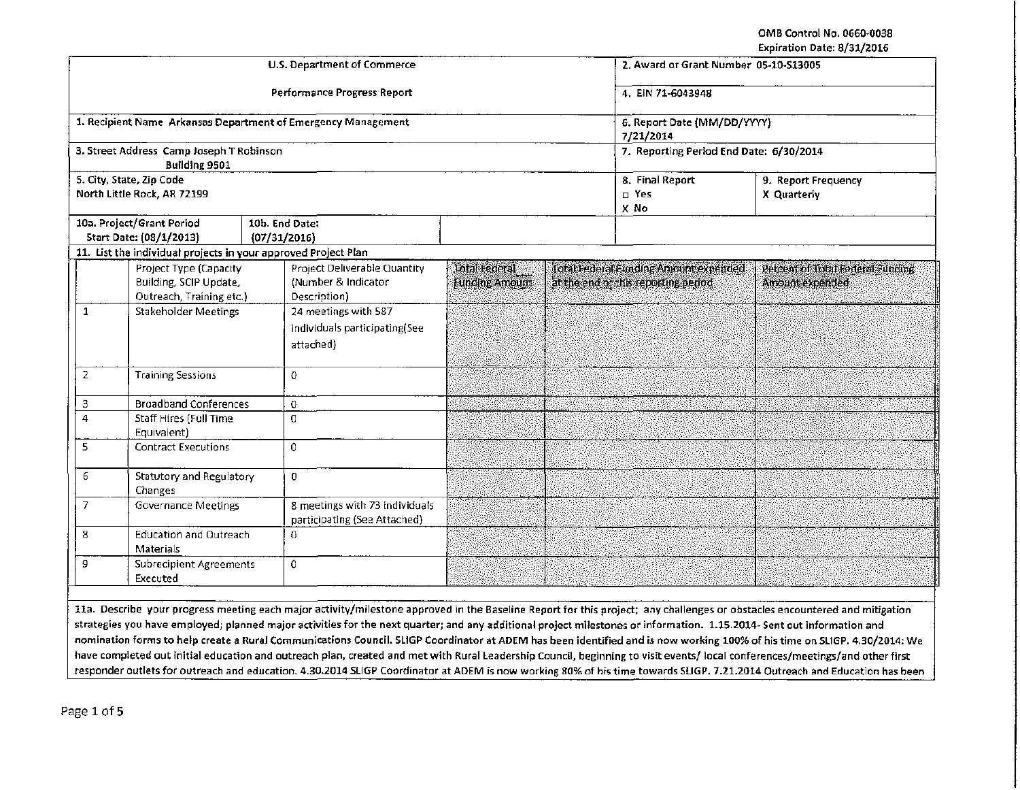OMB Control No. 0660·0038 Expiration Date: 8/31/2016

|                                                               |                                                                |                     |                                                                |                       |  |                                          | EVhirafinii nafe ol 971 yato     |  |  |
|---------------------------------------------------------------|----------------------------------------------------------------|---------------------|----------------------------------------------------------------|-----------------------|--|------------------------------------------|----------------------------------|--|--|
| <b>U.S. Department of Commerce</b>                            |                                                                |                     |                                                                |                       |  | 2. Award or Grant Number 05-10-S13005    |                                  |  |  |
| Performance Progress Report                                   |                                                                |                     |                                                                |                       |  | 4. EIN 71-6043948                        |                                  |  |  |
| 1. Recipient Name Arkansas Department of Emergency Management |                                                                |                     |                                                                |                       |  | 6. Report Date (MM/DD/YYYY)<br>7/21/2014 |                                  |  |  |
| 3. Street Address Camp Joseph T Robinson<br>Building 9501     |                                                                |                     |                                                                |                       |  | 7. Reporting Period End Date: 6/30/2014  |                                  |  |  |
|                                                               | 5. City, State, Zip Code                                       |                     |                                                                |                       |  | 8. Final Report                          | 9. Report Frequency              |  |  |
|                                                               | North Little Rock, AR 72199                                    |                     |                                                                |                       |  | $\Box$ Yes<br>X No                       | X Quarterly                      |  |  |
|                                                               | 10a. Project/Grant Period                                      | 10b. End Date:      |                                                                |                       |  |                                          |                                  |  |  |
|                                                               | Start Date: (08/1/2013)                                        | (07/31/2016)        |                                                                |                       |  |                                          |                                  |  |  |
|                                                               | 11. List the individual projects in your approved Project Plan |                     |                                                                |                       |  |                                          |                                  |  |  |
|                                                               | Project Type (Capacity                                         |                     | <b>Project Deliverable Quantity</b>                            | <b>Total Federal</b>  |  | Total Federal Eunding Amount expended    | Percent of Total Federal Funding |  |  |
|                                                               | Building, SCIP Update,                                         | (Number & Indicator |                                                                | <b>Funding Amount</b> |  | at the end of this reporting period      | Amount expended                  |  |  |
|                                                               | Outreach, Training etc.)                                       |                     | Description)                                                   |                       |  |                                          |                                  |  |  |
| 1                                                             | <b>Stakeholder Meetings</b>                                    |                     | 24 meetings with 587                                           |                       |  |                                          |                                  |  |  |
|                                                               |                                                                |                     | individuals participating(See                                  |                       |  |                                          |                                  |  |  |
|                                                               |                                                                |                     |                                                                |                       |  |                                          |                                  |  |  |
|                                                               |                                                                | attached)           |                                                                |                       |  |                                          |                                  |  |  |
| 2                                                             | <b>Training Sessions</b>                                       | 0                   |                                                                |                       |  |                                          |                                  |  |  |
| $\mathbf 3$                                                   | <b>Broadband Conferences</b>                                   | 0                   |                                                                |                       |  |                                          |                                  |  |  |
| 4                                                             | <b>Staff Hires (Full Time</b>                                  | $\Omega$            |                                                                |                       |  |                                          |                                  |  |  |
|                                                               | Equivalent)                                                    |                     |                                                                |                       |  |                                          |                                  |  |  |
| 5<br><b>Contract Executions</b>                               |                                                                | $\mathbf 0$         |                                                                |                       |  |                                          |                                  |  |  |
| Statutory and Regulatory<br>6<br>Changes                      |                                                                | 0                   |                                                                |                       |  |                                          |                                  |  |  |
| 7<br><b>Governance Meetings</b>                               |                                                                |                     | 8 meetings with 73 individuals<br>participating (See Attached) |                       |  |                                          |                                  |  |  |
| 8<br><b>Education and Outreach</b><br><b>Materials</b>        |                                                                | $\mbox{O}$          |                                                                |                       |  |                                          |                                  |  |  |
| 9<br><b>Subrecipient Agreements</b><br>Executed               |                                                                | 0                   |                                                                |                       |  |                                          |                                  |  |  |
|                                                               |                                                                |                     |                                                                |                       |  |                                          |                                  |  |  |

lla. Describe your progress meeting each major activity/milestone approved in the Baseline Report for this project; any challenges or obstacles encountered and mitigation strategies you have employed; planned major activities for the next quarter; and any additional project milestones or information. 1.15.2014· Sent out information and nomination forms to help create a Rural Communications Council. SUGP Coordinator at ADEM has been identified and is now working 100% of his time on Sl1GP. 4.30/2014: We have completed out initial education and outreach plan, created and met with Rural leadership Council, beginning to visit events/ local conferences/meetings/and other first responder outlets for outreach and education. 4.30.2014 SLIGP Coordinator at ADEM is now working 80% of his time towards SLIGP. 7.21.2014 Outreach and Education has been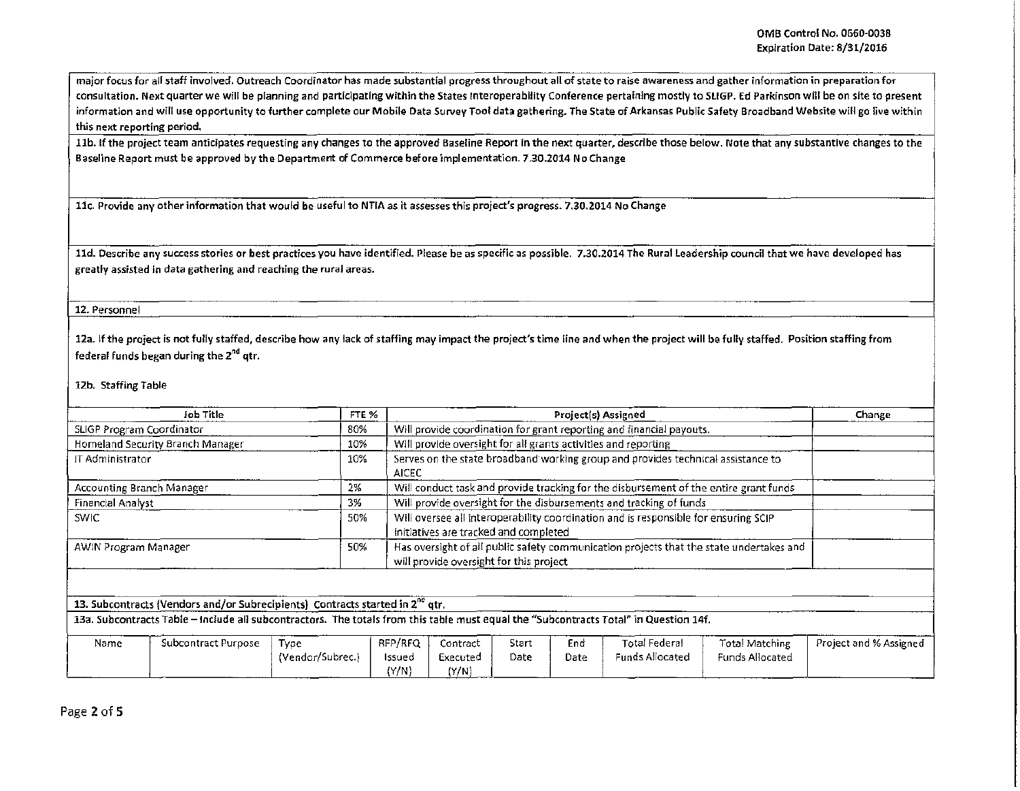major focus for all staff involved. Outreach Coordinator has made substantial progress throughout all of state to raise awareness and gather information in preparation for consultation. Next quarter we will be planning and participating within the States lnteroperability Conference pertaining mostly to Sl!GP. Ed Parkinson will be on site to present information and will use opportunity to further complete our Mobile Data Survey Too! data gathering. The State of Arkansas Public Safety Broadband Website will go live within this next reporting period.

11b. If the project team anticipates requesting any changes to the approved Baseline Report in the next quarter, describe those below. Note that any substantive changes to the Baseline Report must be approved by the Department of Commerce before implementation. 7.30.2014 No Change

llc. Provide any other information that would be useful to NTIA as it assesses this project's progress. 7.30.2014 No Change

lld. Describe any success stories or best practices you have identified. Please be as specific as possible. 7.30.2014 The Rural leadership council that we have developed has greatly assisted in data gathering and reaching the rural areas.

## 12. Personnel

12a. If the project is not fully staffed, describe how any lack of staffing may impact the project's time line and when the project will be fully staffed. Position staffing from federal funds began during the 2<sup>nd</sup> qtr.

## 12b. Staffing Table

| Job Title                        | FTE % | <b>Project(s) Assigned</b>                                                                                                         | Change |
|----------------------------------|-------|------------------------------------------------------------------------------------------------------------------------------------|--------|
| SLIGP Program Coordinator        | 80%   | Will provide coordination for grant reporting and financial payouts.                                                               |        |
| Homeland Security Branch Manager | 10%   | Will provide oversight for all grants activities and reporting                                                                     |        |
| 丌 Administrator                  | 10%   | Serves on the state broadband working group and provides technical assistance to<br><b>AICEC</b>                                   |        |
| Accounting Branch Manager        | 2%    | Will conduct task and provide tracking for the disbursement of the entire grant funds                                              |        |
| Financial Analyst                | 3%    | Will provide oversight for the disbursements and tracking of funds                                                                 |        |
| <b>SWIC</b>                      | 50%   | Will oversee all interoperability coordination and is responsible for ensuring SCIP<br>initiatives are tracked and completed       |        |
| AWIN Program Manager             | 50%   | Has oversight of all public safety communication projects that the state undertakes and<br>will provide oversight for this project |        |

| Name | Subcontract Purpose | Type             | RFP/RFQ | ---------<br>contract: | -star† | End  | Total Federal          | Total Matching  | -------<br>Project and % Assigned |
|------|---------------------|------------------|---------|------------------------|--------|------|------------------------|-----------------|-----------------------------------|
|      |                     | (Vendor/Subrec.) | Issued  | Executed               | Date   | Date | <b>Funds Allocated</b> | Funds Allocated |                                   |
|      |                     | ______           | 'Y/N)   | (Y/N)<br>____          |        |      |                        |                 |                                   |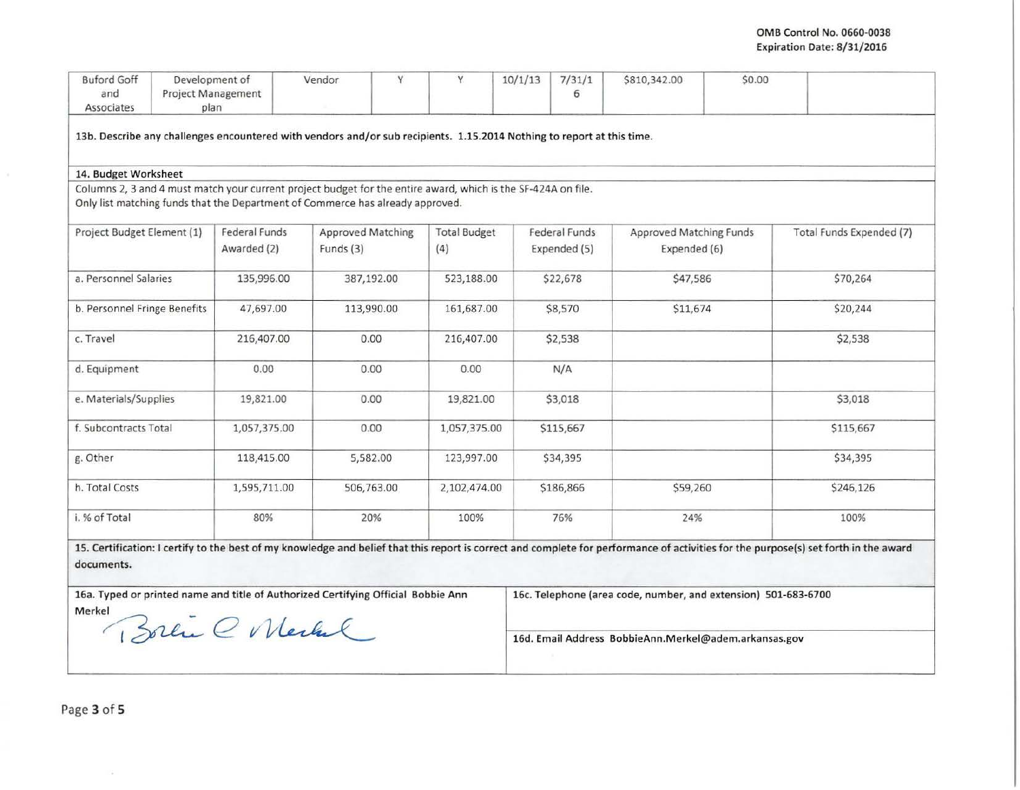## OMB Control No. 0660-0038 Expiration Date: 8/31/2016

| <b>Buford Goff</b><br>and                                                                                                                                                                          |  | Development of<br>Project Management | Y<br>Vendor                                                                                                            | Y                                                     | 10/1/13 | 7/31/1<br>6                                                    | \$810,342.00            | \$0.00 |                          |
|----------------------------------------------------------------------------------------------------------------------------------------------------------------------------------------------------|--|--------------------------------------|------------------------------------------------------------------------------------------------------------------------|-------------------------------------------------------|---------|----------------------------------------------------------------|-------------------------|--------|--------------------------|
| Associates                                                                                                                                                                                         |  | plan                                 |                                                                                                                        |                                                       |         |                                                                |                         |        |                          |
|                                                                                                                                                                                                    |  |                                      | 13b. Describe any challenges encountered with vendors and/or sub recipients. 1.15.2014 Nothing to report at this time. |                                                       |         |                                                                |                         |        |                          |
| 14. Budget Worksheet                                                                                                                                                                               |  |                                      |                                                                                                                        |                                                       |         |                                                                |                         |        |                          |
|                                                                                                                                                                                                    |  |                                      | Columns 2, 3 and 4 must match your current project budget for the entire award, which is the SF-424A on file.          |                                                       |         |                                                                |                         |        |                          |
|                                                                                                                                                                                                    |  |                                      | Only list matching funds that the Department of Commerce has already approved.                                         |                                                       |         |                                                                |                         |        |                          |
| Project Budget Element (1)                                                                                                                                                                         |  | Federal Funds                        | <b>Approved Matching</b>                                                                                               | <b>Total Budget</b>                                   |         | Federal Funds                                                  | Approved Matching Funds |        | Total Funds Expended (7) |
|                                                                                                                                                                                                    |  | Awarded (2)                          | Funds (3)                                                                                                              | (4)                                                   |         | Expended (5)                                                   | Expended (6)            |        |                          |
| a. Personnel Salaries                                                                                                                                                                              |  | 135,996.00                           | 387,192.00                                                                                                             | 523,188.00                                            |         | \$22,678                                                       | \$47,586                |        | \$70,264                 |
| b. Personnel Fringe Benefits                                                                                                                                                                       |  | 47,697.00                            | 113,990.00                                                                                                             | 161,687.00                                            |         | \$8,570                                                        | \$11,674                |        | \$20,244                 |
| c. Travel                                                                                                                                                                                          |  | 216,407.00                           | 0.00                                                                                                                   | 216,407.00                                            |         | \$2,538                                                        |                         |        | \$2,538                  |
| d. Equipment                                                                                                                                                                                       |  | 0.00                                 | 0.00                                                                                                                   | 0.00                                                  |         | N/A                                                            |                         |        |                          |
| e. Materials/Supplies                                                                                                                                                                              |  | 19,821.00                            | 0.00                                                                                                                   | 19,821.00                                             |         | \$3,018                                                        |                         |        | \$3,018                  |
| f. Subcontracts Total                                                                                                                                                                              |  | 1,057,375.00                         | 0.00                                                                                                                   | 1,057,375.00                                          |         | \$115,667                                                      |                         |        | \$115,667                |
| g. Other                                                                                                                                                                                           |  | 118,415.00                           | 5,582.00                                                                                                               | 123,997.00                                            |         | \$34,395                                                       |                         |        | \$34,395                 |
| h. Total Costs                                                                                                                                                                                     |  | 1,595,711.00                         | 506,763.00                                                                                                             | 2,102,474.00                                          |         | \$186,866                                                      | \$59,260                |        | \$246,126                |
| i. % of Total                                                                                                                                                                                      |  | 80%                                  | 20%                                                                                                                    | 100%                                                  |         | 76%                                                            | 24%                     |        | 100%                     |
| 15. Certification: I certify to the best of my knowledge and belief that this report is correct and complete for performance of activities for the purpose(s) set forth in the award<br>documents. |  |                                      |                                                                                                                        |                                                       |         |                                                                |                         |        |                          |
| 16a. Typed or printed name and title of Authorized Certifying Official Bobbie Ann                                                                                                                  |  |                                      |                                                                                                                        |                                                       |         | 16c. Telephone (area code, number, and extension) 501-683-6700 |                         |        |                          |
| Merkel                                                                                                                                                                                             |  |                                      |                                                                                                                        |                                                       |         |                                                                |                         |        |                          |
| Boren C Mechal                                                                                                                                                                                     |  |                                      |                                                                                                                        | 16d. Email Address BobbieAnn.Merkel@adem.arkansas.gov |         |                                                                |                         |        |                          |

 $\sim$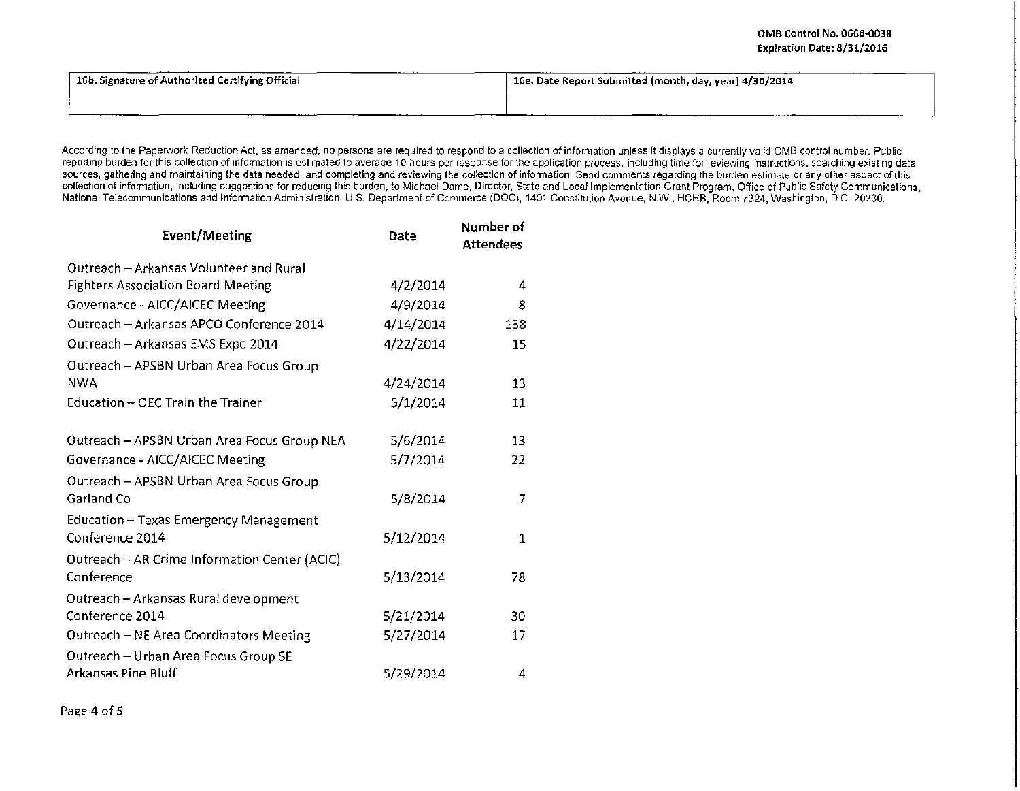| 16b. Signature of Authorized Certifying Official | 16e. Date Report Submitted (month, day, year) 4/30/2014 |  |  |  |  |
|--------------------------------------------------|---------------------------------------------------------|--|--|--|--|
|                                                  | _______                                                 |  |  |  |  |

According to the Paperwork Reduction Act, as amended, no persons are required to respond to a collection of information unless it displays a currently valid OMB control number. Public reporting burden for this collection of information is estimated to average 10 hours per response for the application process, including time for reviewing instructions, searching existing data sources, gathering and maintaining the data needed, and completing and reviewing the collection of information. Send comments regarding the burden estimate or any other aspect of this collection of information, including suggestions for reducing this burden, to Michael Dame, Director, State and Local Implementation Grant Program, Office of Public Safety Communications, National Telecommunications and Information Admmistration, U.S. Department of Commerce (DOC), 1401 Constitution Avenue, N.W., HCHB, Room 7324, Washington, D.C. 20230.

| <b>Event/Meeting</b>                          | Date      | Number of<br><b>Attendees</b> |  |
|-----------------------------------------------|-----------|-------------------------------|--|
| Outreach - Arkansas Volunteer and Rural       |           |                               |  |
| <b>Fighters Association Board Meeting</b>     | 4/2/2014  | 4                             |  |
| Governance - AICC/AICEC Meeting               | 4/9/2014  | 8                             |  |
| Outreach - Arkansas APCO Conference 2014      | 4/14/2014 | 138                           |  |
| Outreach - Arkansas EMS Expo 2014             | 4/22/2014 | 15                            |  |
| Outreach - APSBN Urban Area Focus Group       |           |                               |  |
| <b>NWA</b>                                    | 4/24/2014 | 13                            |  |
| Education - OEC Train the Trainer             | 5/1/2014  | 11                            |  |
| Outreach - APSBN Urban Area Focus Group NEA   | 5/6/2014  | 13                            |  |
| Governance - AICC/AICEC Meeting               | 5/7/2014  | 22                            |  |
| Outreach - APSBN Urban Area Focus Group       |           |                               |  |
| Garland Co                                    | 5/8/2014  | 7                             |  |
| Education - Texas Emergency Management        |           |                               |  |
| Conference 2014                               | 5/12/2014 | 1                             |  |
| Outreach - AR Crime Information Center (ACIC) |           |                               |  |
| Conference                                    | 5/13/2014 | 78                            |  |
| Outreach - Arkansas Rural development         |           |                               |  |
| Conference 2014                               | 5/21/2014 | 30                            |  |
| Outreach - NE Area Coordinators Meeting       | 5/27/2014 | 17                            |  |
| Outreach - Urban Area Focus Group SE          |           |                               |  |
| Arkansas Pine Bluff                           | 5/29/2014 | 4                             |  |